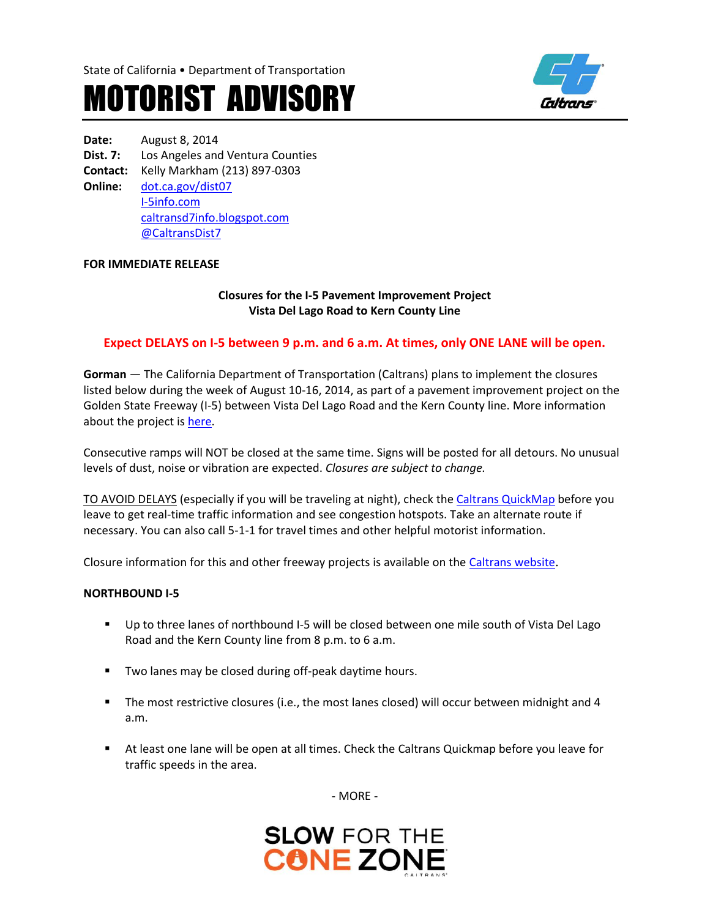State of California • Department of Transportation

# MOTORIST ADVISORY



**Date:** August 8, 2014 **Dist. 7:** Los Angeles and Ventura Counties **Contact:** Kelly Markham (213) 897-0303 **Online:** [dot.ca.gov/dist07](http://www.dot.ca.gov/dist07) [I-5info.com](http://www.i-5info.com/) [caltransd7info.blogspot.com](https://caltransd7info.blogspot.com/) @CaltransDist7

# **FOR IMMEDIATE RELEASE**

**Closures for the I-5 Pavement Improvement Project Vista Del Lago Road to Kern County Line**

## **Expect DELAYS on I-5 between 9 p.m. and 6 a.m. At times, only ONE LANE will be open.**

**Gorman** — The California Department of Transportation (Caltrans) plans to implement the closures listed below during the week of August 10-16, 2014, as part of a pavement improvement project on the Golden State Freeway (I-5) between Vista Del Lago Road and the Kern County line. More information about the project is [here.](http://i-5info.com/vista-del-lago-road-to-the-kern-county-line/)

Consecutive ramps will NOT be closed at the same time. Signs will be posted for all detours. No unusual levels of dust, noise or vibration are expected. *Closures are subject to change.* 

TO AVOID DELAYS (especially if you will be traveling at night), check th[e Caltrans QuickMap](http://quickmap.dot.ca.gov/) before you leave to get real-time traffic information and see congestion hotspots. Take an alternate route if necessary. You can also call 5-1-1 for travel times and other helpful motorist information.

Closure information for this and other freeway projects is available on th[e Caltrans website](http://www.lcswebreports.dot.ca.gov/lcswebreports/SearchPreAction.do?district=7).

#### **NORTHBOUND I-5**

- Up to three lanes of northbound I-5 will be closed between one mile south of Vista Del Lago Road and the Kern County line from 8 p.m. to 6 a.m.
- **Two lanes may be closed during off-peak daytime hours.**
- The most restrictive closures (i.e., the most lanes closed) will occur between midnight and 4 a.m.
- At least one lane will be open at all times. Check the Caltrans Quickmap before you leave for traffic speeds in the area.

- MORE -